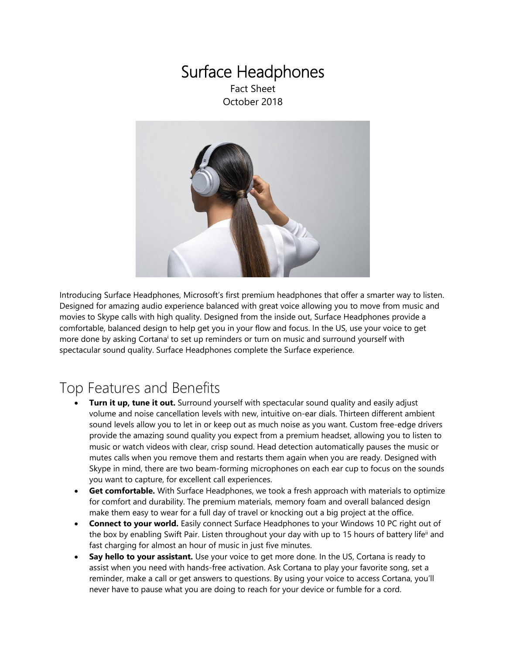### Surface Headphones Fact Sheet

October 2018



Introducing Surface Headphones, Microsoft's first premium headphones that offer a smarter way to listen. Designed for amazing audio experience balanced with great voice allowing you to move from music and movies to Skype calls with high quality. Designed from the inside out, Surface Headphones provide a comfortable, balanced design to help get you in your flow and focus. In the US, use your voice to get more done by asking Cortana<sup>i</sup> to set up reminders or turn on music and surround yourself with spectacular sound quality. Surface Headphones complete the Surface experience.

### Top Features and Benefits

- **Turn it up, tune it out.** Surround yourself with spectacular sound quality and easily adjust volume and noise cancellation levels with new, intuitive on-ear dials. Thirteen different ambient sound levels allow you to let in or keep out as much noise as you want. Custom free-edge drivers provide the amazing sound quality you expect from a premium headset, allowing you to listen to music or watch videos with clear, crisp sound. Head detection automatically pauses the music or mutes calls when you remove them and restarts them again when you are ready. Designed with Skype in mind, there are two beam-forming microphones on each ear cup to focus on the sounds you want to capture, for excellent call experiences.
- **Get comfortable.** With Surface Headphones, we took a fresh approach with materials to optimize for comfort and durability. The premium materials, memory foam and overall balanced design make them easy to wear for a full day of travel or knocking out a big project at the office.
- **Connect to your world.** Easily connect Surface Headphones to your Windows 10 PC right out of the box by enabling Swift Pair. Listen throughout your day with up to 15 hours of battery life<sup>ii</sup> and fast charging for almost an hour of music in just five minutes.
- **Say hello to your assistant.** Use your voice to get more done. In the US, Cortana is ready to assist when you need with hands-free activation. Ask Cortana to play your favorite song, set a reminder, make a call or get answers to questions. By using your voice to access Cortana, you'll never have to pause what you are doing to reach for your device or fumble for a cord.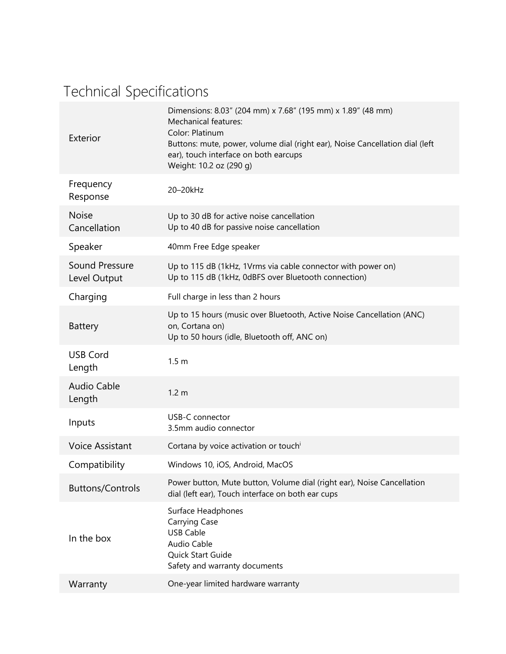# Technical Specifications

| Exterior                       | Dimensions: 8.03" (204 mm) x 7.68" (195 mm) x 1.89" (48 mm)<br><b>Mechanical features:</b><br>Color: Platinum<br>Buttons: mute, power, volume dial (right ear), Noise Cancellation dial (left<br>ear), touch interface on both earcups<br>Weight: 10.2 oz (290 g) |
|--------------------------------|-------------------------------------------------------------------------------------------------------------------------------------------------------------------------------------------------------------------------------------------------------------------|
| Frequency<br>Response          | 20-20kHz                                                                                                                                                                                                                                                          |
| <b>Noise</b><br>Cancellation   | Up to 30 dB for active noise cancellation<br>Up to 40 dB for passive noise cancellation                                                                                                                                                                           |
| Speaker                        | 40mm Free Edge speaker                                                                                                                                                                                                                                            |
| Sound Pressure<br>Level Output | Up to 115 dB (1kHz, 1Vrms via cable connector with power on)<br>Up to 115 dB (1kHz, 0dBFS over Bluetooth connection)                                                                                                                                              |
| Charging                       | Full charge in less than 2 hours                                                                                                                                                                                                                                  |
| <b>Battery</b>                 | Up to 15 hours (music over Bluetooth, Active Noise Cancellation (ANC)<br>on, Cortana on)<br>Up to 50 hours (idle, Bluetooth off, ANC on)                                                                                                                          |
| <b>USB Cord</b><br>Length      | 1.5 <sub>m</sub>                                                                                                                                                                                                                                                  |
| <b>Audio Cable</b><br>Length   | 1.2 <sub>m</sub>                                                                                                                                                                                                                                                  |
| Inputs                         | USB-C connector<br>3.5mm audio connector                                                                                                                                                                                                                          |
| <b>Voice Assistant</b>         | Cortana by voice activation or touch <sup>i</sup>                                                                                                                                                                                                                 |
| Compatibility                  | Windows 10, iOS, Android, MacOS                                                                                                                                                                                                                                   |
| <b>Buttons/Controls</b>        | Power button, Mute button, Volume dial (right ear), Noise Cancellation<br>dial (left ear), Touch interface on both ear cups                                                                                                                                       |
| In the box                     | Surface Headphones<br><b>Carrying Case</b><br><b>USB Cable</b><br>Audio Cable<br>Quick Start Guide<br>Safety and warranty documents                                                                                                                               |
| Warranty                       | One-year limited hardware warranty                                                                                                                                                                                                                                |